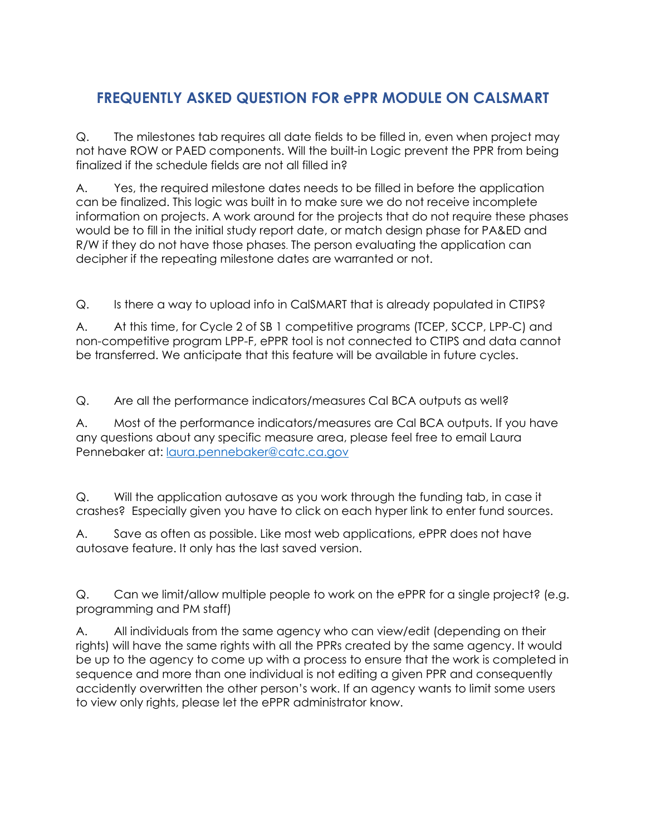## **FREQUENTLY ASKED QUESTION FOR ePPR MODULE ON CALSMART**

Q. The milestones tab requires all date fields to be filled in, even when project may not have ROW or PAED components. Will the built-in Logic prevent the PPR from being finalized if the schedule fields are not all filled in?

A. Yes, the required milestone dates needs to be filled in before the application can be finalized. This logic was built in to make sure we do not receive incomplete information on projects. A work around for the projects that do not require these phases would be to fill in the initial study report date, or match design phase for PA&ED and R/W if they do not have those phases. The person evaluating the application can decipher if the repeating milestone dates are warranted or not.

Q. Is there a way to upload info in CalSMART that is already populated in CTIPS?

A. At this time, for Cycle 2 of SB 1 competitive programs (TCEP, SCCP, LPP-C) and non-competitive program LPP-F, ePPR tool is not connected to CTIPS and data cannot be transferred. We anticipate that this feature will be available in future cycles.

Q. Are all the performance indicators/measures Cal BCA outputs as well?

A. Most of the performance indicators/measures are Cal BCA outputs. If you have any questions about any specific measure area, please feel free to email Laura Pennebaker at: [laura.pennebaker@catc.ca.gov](mailto:laura.pennebaker@catc.ca.gov)

Q. Will the application autosave as you work through the funding tab, in case it crashes? Especially given you have to click on each hyper link to enter fund sources.

A. Save as often as possible. Like most web applications, ePPR does not have autosave feature. It only has the last saved version.

Q. Can we limit/allow multiple people to work on the ePPR for a single project? (e.g. programming and PM staff)

A. All individuals from the same agency who can view/edit (depending on their rights) will have the same rights with all the PPRs created by the same agency. It would be up to the agency to come up with a process to ensure that the work is completed in sequence and more than one individual is not editing a given PPR and consequently accidently overwritten the other person's work. If an agency wants to limit some users to view only rights, please let the ePPR administrator know.